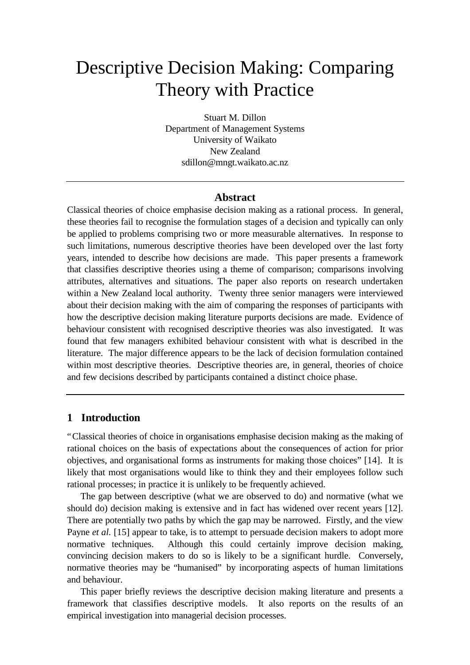# Descriptive Decision Making: Comparing Theory with Practice

Stuart M. Dillon Department of Management Systems University of Waikato New Zealand sdillon@mngt.waikato.ac.nz

#### **Abstract**

Classical theories of choice emphasise decision making as a rational process. In general, these theories fail to recognise the formulation stages of a decision and typically can only be applied to problems comprising two or more measurable alternatives. In response to such limitations, numerous descriptive theories have been developed over the last forty years, intended to describe how decisions are made. This paper presents a framework that classifies descriptive theories using a theme of comparison; comparisons involving attributes, alternatives and situations. The paper also reports on research undertaken within a New Zealand local authority. Twenty three senior managers were interviewed about their decision making with the aim of comparing the responses of participants with how the descriptive decision making literature purports decisions are made. Evidence of behaviour consistent with recognised descriptive theories was also investigated. It was found that few managers exhibited behaviour consistent with what is described in the literature. The major difference appears to be the lack of decision formulation contained within most descriptive theories. Descriptive theories are, in general, theories of choice and few decisions described by participants contained a distinct choice phase.

#### **1 Introduction**

"Classical theories of choice in organisations emphasise decision making as the making of rational choices on the basis of expectations about the consequences of action for prior objectives, and organisational forms as instruments for making those choices" [14]. It is likely that most organisations would like to think they and their employees follow such rational processes; in practice it is unlikely to be frequently achieved.

The gap between descriptive (what we are observed to do) and normative (what we should do) decision making is extensive and in fact has widened over recent years [12]. There are potentially two paths by which the gap may be narrowed. Firstly, and the view Payne *et al.* [15] appear to take, is to attempt to persuade decision makers to adopt more normative techniques. Although this could certainly improve decision making, convincing decision makers to do so is likely to be a significant hurdle. Conversely, normative theories may be "humanised" by incorporating aspects of human limitations and behaviour.

This paper briefly reviews the descriptive decision making literature and presents a framework that classifies descriptive models. It also reports on the results of an empirical investigation into managerial decision processes.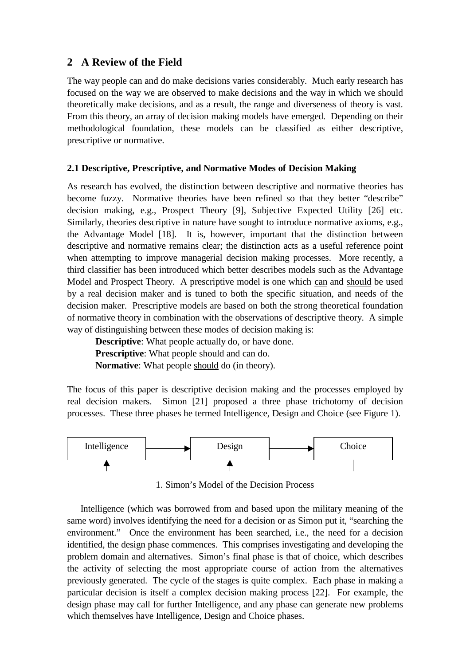# **2 A Review of the Field**

The way people can and do make decisions varies considerably. Much early research has focused on the way we are observed to make decisions and the way in which we should theoretically make decisions, and as a result, the range and diverseness of theory is vast. From this theory, an array of decision making models have emerged. Depending on their methodological foundation, these models can be classified as either descriptive, prescriptive or normative.

# **2.1 Descriptive, Prescriptive, and Normative Modes of Decision Making**

As research has evolved, the distinction between descriptive and normative theories has become fuzzy. Normative theories have been refined so that they better "describe" decision making, e.g., Prospect Theory [9], Subjective Expected Utility [26] etc. Similarly, theories descriptive in nature have sought to introduce normative axioms, e.g., the Advantage Model [18]. It is, however, important that the distinction between descriptive and normative remains clear; the distinction acts as a useful reference point when attempting to improve managerial decision making processes. More recently, a third classifier has been introduced which better describes models such as the Advantage Model and Prospect Theory. A prescriptive model is one which can and should be used by a real decision maker and is tuned to both the specific situation, and needs of the decision maker. Prescriptive models are based on both the strong theoretical foundation of normative theory in combination with the observations of descriptive theory. A simple way of distinguishing between these modes of decision making is:

**Descriptive**: What people actually do, or have done. **Prescriptive**: What people should and can do. **Normative**: What people should do (in theory).

The focus of this paper is descriptive decision making and the processes employed by real decision makers. Simon [21] proposed a three phase trichotomy of decision processes. These three phases he termed Intelligence, Design and Choice (see Figure 1).



1. Simon's Model of the Decision Process

Intelligence (which was borrowed from and based upon the military meaning of the same word) involves identifying the need for a decision or as Simon put it, "searching the environment." Once the environment has been searched, i.e., the need for a decision identified, the design phase commences. This comprises investigating and developing the problem domain and alternatives. Simon's final phase is that of choice, which describes the activity of selecting the most appropriate course of action from the alternatives previously generated. The cycle of the stages is quite complex. Each phase in making a particular decision is itself a complex decision making process [22]. For example, the design phase may call for further Intelligence, and any phase can generate new problems which themselves have Intelligence, Design and Choice phases.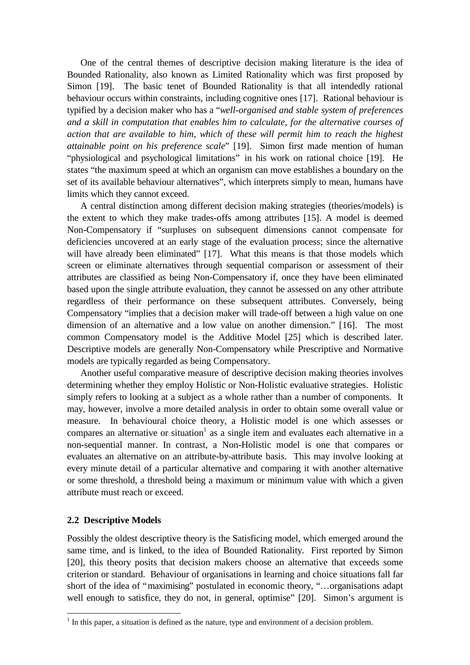One of the central themes of descriptive decision making literature is the idea of Bounded Rationality, also known as Limited Rationality which was first proposed by Simon [19]. The basic tenet of Bounded Rationality is that all intendedly rational behaviour occurs within constraints, including cognitive ones [17]. Rational behaviour is typified by a decision maker who has a "*well-organised and stable system of preferences and a skill in computation that enables him to calculate, for the alternative courses of action that are available to him, which of these will permit him to reach the highest attainable point on his preference scale*" [19]. Simon first made mention of human "physiological and psychological limitations" in his work on rational choice [19]. He states "the maximum speed at which an organism can move establishes a boundary on the set of its available behaviour alternatives", which interprets simply to mean, humans have limits which they cannot exceed.

A central distinction among different decision making strategies (theories/models) is the extent to which they make trades-offs among attributes [15]. A model is deemed Non-Compensatory if "surpluses on subsequent dimensions cannot compensate for deficiencies uncovered at an early stage of the evaluation process; since the alternative will have already been eliminated" [17]. What this means is that those models which screen or eliminate alternatives through sequential comparison or assessment of their attributes are classified as being Non-Compensatory if, once they have been eliminated based upon the single attribute evaluation, they cannot be assessed on any other attribute regardless of their performance on these subsequent attributes. Conversely, being Compensatory "implies that a decision maker will trade-off between a high value on one dimension of an alternative and a low value on another dimension." [16]. The most common Compensatory model is the Additive Model [25] which is described later. Descriptive models are generally Non-Compensatory while Prescriptive and Normative models are typically regarded as being Compensatory.

Another useful comparative measure of descriptive decision making theories involves determining whether they employ Holistic or Non-Holistic evaluative strategies. Holistic simply refers to looking at a subject as a whole rather than a number of components. It may, however, involve a more detailed analysis in order to obtain some overall value or measure. In behavioural choice theory, a Holistic model is one which assesses or compares an alternative or situation<sup>1</sup> as a single item and evaluates each alternative in a non-sequential manner. In contrast, a Non-Holistic model is one that compares or evaluates an alternative on an attribute-by-attribute basis. This may involve looking at every minute detail of a particular alternative and comparing it with another alternative or some threshold, a threshold being a maximum or minimum value with which a given attribute must reach or exceed.

#### **2.2 Descriptive Models**

l

Possibly the oldest descriptive theory is the Satisficing model, which emerged around the same time, and is linked, to the idea of Bounded Rationality. First reported by Simon [20], this theory posits that decision makers choose an alternative that exceeds some criterion or standard. Behaviour of organisations in learning and choice situations fall far short of the idea of "maximising" postulated in economic theory, "… organisations adapt well enough to satisfice, they do not, in general, optimise" [20]. Simon's argument is

 $<sup>1</sup>$  In this paper, a situation is defined as the nature, type and environment of a decision problem.</sup>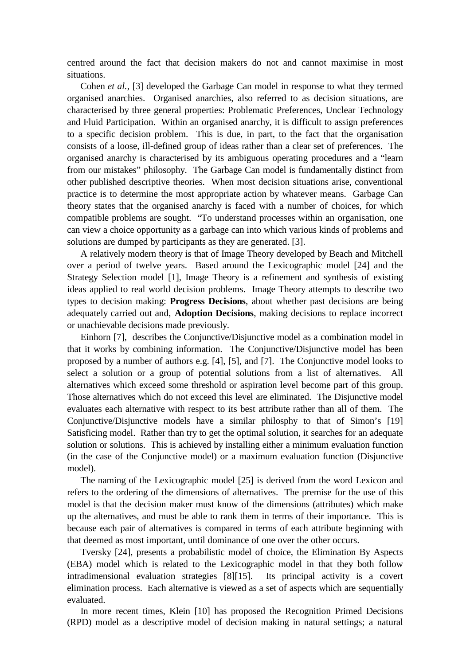centred around the fact that decision makers do not and cannot maximise in most situations.

Cohen *et al.*, [3] developed the Garbage Can model in response to what they termed organised anarchies. Organised anarchies, also referred to as decision situations, are characterised by three general properties: Problematic Preferences, Unclear Technology and Fluid Participation. Within an organised anarchy, it is difficult to assign preferences to a specific decision problem. This is due, in part, to the fact that the organisation consists of a loose, ill-defined group of ideas rather than a clear set of preferences. The organised anarchy is characterised by its ambiguous operating procedures and a "learn from our mistakes" philosophy. The Garbage Can model is fundamentally distinct from other published descriptive theories. When most decision situations arise, conventional practice is to determine the most appropriate action by whatever means. Garbage Can theory states that the organised anarchy is faced with a number of choices, for which compatible problems are sought. "To understand processes within an organisation, one can view a choice opportunity as a garbage can into which various kinds of problems and solutions are dumped by participants as they are generated. [3].

A relatively modern theory is that of Image Theory developed by Beach and Mitchell over a period of twelve years. Based around the Lexicographic model [24] and the Strategy Selection model [1], Image Theory is a refinement and synthesis of existing ideas applied to real world decision problems. Image Theory attempts to describe two types to decision making: **Progress Decisions**, about whether past decisions are being adequately carried out and, **Adoption Decisions**, making decisions to replace incorrect or unachievable decisions made previously.

Einhorn [7], describes the Conjunctive/Disjunctive model as a combination model in that it works by combining information. The Conjunctive/Disjunctive model has been proposed by a number of authors e.g. [4], [5], and [7]. The Conjunctive model looks to select a solution or a group of potential solutions from a list of alternatives. All alternatives which exceed some threshold or aspiration level become part of this group. Those alternatives which do not exceed this level are eliminated. The Disjunctive model evaluates each alternative with respect to its best attribute rather than all of them. The Conjunctive/Disjunctive models have a similar philosphy to that of Simon's [19] Satisficing model. Rather than try to get the optimal solution, it searches for an adequate solution or solutions. This is achieved by installing either a minimum evaluation function (in the case of the Conjunctive model) or a maximum evaluation function (Disjunctive model).

The naming of the Lexicographic model [25] is derived from the word Lexicon and refers to the ordering of the dimensions of alternatives. The premise for the use of this model is that the decision maker must know of the dimensions (attributes) which make up the alternatives, and must be able to rank them in terms of their importance. This is because each pair of alternatives is compared in terms of each attribute beginning with that deemed as most important, until dominance of one over the other occurs.

Tversky [24], presents a probabilistic model of choice, the Elimination By Aspects (EBA) model which is related to the Lexicographic model in that they both follow intradimensional evaluation strategies [8][15]. Its principal activity is a covert elimination process. Each alternative is viewed as a set of aspects which are sequentially evaluated.

In more recent times, Klein [10] has proposed the Recognition Primed Decisions (RPD) model as a descriptive model of decision making in natural settings; a natural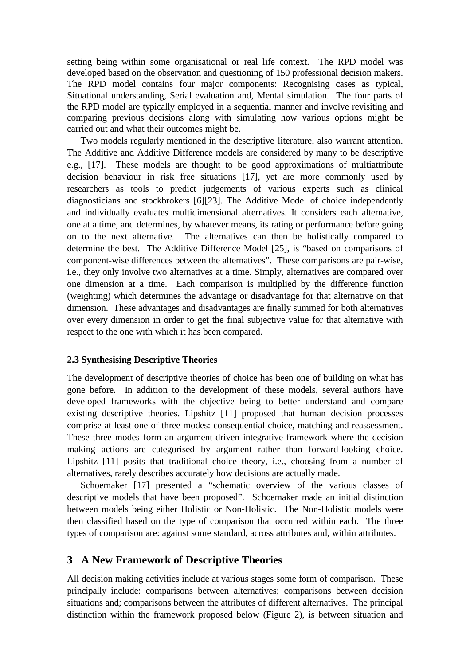setting being within some organisational or real life context. The RPD model was developed based on the observation and questioning of 150 professional decision makers. The RPD model contains four major components: Recognising cases as typical, Situational understanding, Serial evaluation and, Mental simulation. The four parts of the RPD model are typically employed in a sequential manner and involve revisiting and comparing previous decisions along with simulating how various options might be carried out and what their outcomes might be.

Two models regularly mentioned in the descriptive literature, also warrant attention. The Additive and Additive Difference models are considered by many to be descriptive e.g., [17]. These models are thought to be good approximations of multiattribute decision behaviour in risk free situations [17], yet are more commonly used by researchers as tools to predict judgements of various experts such as clinical diagnosticians and stockbrokers [6][23]. The Additive Model of choice independently and individually evaluates multidimensional alternatives. It considers each alternative, one at a time, and determines, by whatever means, its rating or performance before going on to the next alternative. The alternatives can then be holistically compared to determine the best. The Additive Difference Model [25], is "based on comparisons of component-wise differences between the alternatives". These comparisons are pair-wise, i.e., they only involve two alternatives at a time. Simply, alternatives are compared over one dimension at a time. Each comparison is multiplied by the difference function (weighting) which determines the advantage or disadvantage for that alternative on that dimension. These advantages and disadvantages are finally summed for both alternatives over every dimension in order to get the final subjective value for that alternative with respect to the one with which it has been compared.

#### **2.3 Synthesising Descriptive Theories**

The development of descriptive theories of choice has been one of building on what has gone before. In addition to the development of these models, several authors have developed frameworks with the objective being to better understand and compare existing descriptive theories. Lipshitz [11] proposed that human decision processes comprise at least one of three modes: consequential choice, matching and reassessment. These three modes form an argument-driven integrative framework where the decision making actions are categorised by argument rather than forward-looking choice. Lipshitz [11] posits that traditional choice theory, i.e., choosing from a number of alternatives, rarely describes accurately how decisions are actually made.

Schoemaker [17] presented a "schematic overview of the various classes of descriptive models that have been proposed". Schoemaker made an initial distinction between models being either Holistic or Non-Holistic. The Non-Holistic models were then classified based on the type of comparison that occurred within each. The three types of comparison are: against some standard, across attributes and, within attributes.

## **3 A New Framework of Descriptive Theories**

All decision making activities include at various stages some form of comparison. These principally include: comparisons between alternatives; comparisons between decision situations and; comparisons between the attributes of different alternatives. The principal distinction within the framework proposed below (Figure 2), is between situation and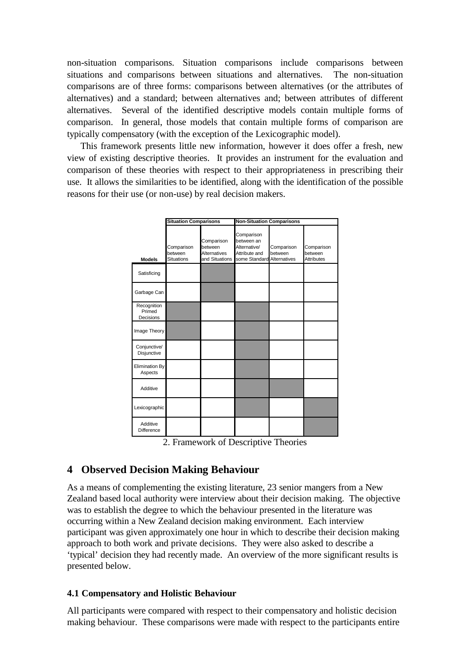non-situation comparisons. Situation comparisons include comparisons between situations and comparisons between situations and alternatives. The non-situation comparisons are of three forms: comparisons between alternatives (or the attributes of alternatives) and a standard; between alternatives and; between attributes of different alternatives. Several of the identified descriptive models contain multiple forms of comparison. In general, those models that contain multiple forms of comparison are typically compensatory (with the exception of the Lexicographic model).

This framework presents little new information, however it does offer a fresh, new view of existing descriptive theories. It provides an instrument for the evaluation and comparison of these theories with respect to their appropriateness in prescribing their use. It allows the similarities to be identified, along with the identification of the possible reasons for their use (or non-use) by real decision makers.

|                                    | <b>Situation Comparisons</b>               |                                                         | <b>Non-Situation Comparisons</b>                                                        |                       |                                            |
|------------------------------------|--------------------------------------------|---------------------------------------------------------|-----------------------------------------------------------------------------------------|-----------------------|--------------------------------------------|
| <b>Models</b>                      | Comparison<br>between<br><b>Situations</b> | Comparison<br>between<br>Alternatives<br>and Situations | Comparison<br>between an<br>Alternative/<br>Attribute and<br>some Standard Alternatives | Comparison<br>between | Comparison<br>between<br><b>Attributes</b> |
| Satisficing                        |                                            |                                                         |                                                                                         |                       |                                            |
| Garbage Can                        |                                            |                                                         |                                                                                         |                       |                                            |
| Recognition<br>Primed<br>Decisions |                                            |                                                         |                                                                                         |                       |                                            |
| Image Theory                       |                                            |                                                         |                                                                                         |                       |                                            |
| Conjunctive/<br>Disjunctive        |                                            |                                                         |                                                                                         |                       |                                            |
| Elimination By<br>Aspects          |                                            |                                                         |                                                                                         |                       |                                            |
| Additive                           |                                            |                                                         |                                                                                         |                       |                                            |
| Lexicographic                      |                                            |                                                         |                                                                                         |                       |                                            |
| Additive<br>Difference             |                                            | ٠<br>∼                                                  | ٠<br>٠                                                                                  | ٠                     |                                            |

2. Framework of Descriptive Theories

# **4 Observed Decision Making Behaviour**

As a means of complementing the existing literature, 23 senior mangers from a New Zealand based local authority were interview about their decision making. The objective was to establish the degree to which the behaviour presented in the literature was occurring within a New Zealand decision making environment. Each interview participant was given approximately one hour in which to describe their decision making approach to both work and private decisions. They were also asked to describe a 'typical' decision they had recently made. An overview of the more significant results is presented below.

# **4.1 Compensatory and Holistic Behaviour**

All participants were compared with respect to their compensatory and holistic decision making behaviour. These comparisons were made with respect to the participants entire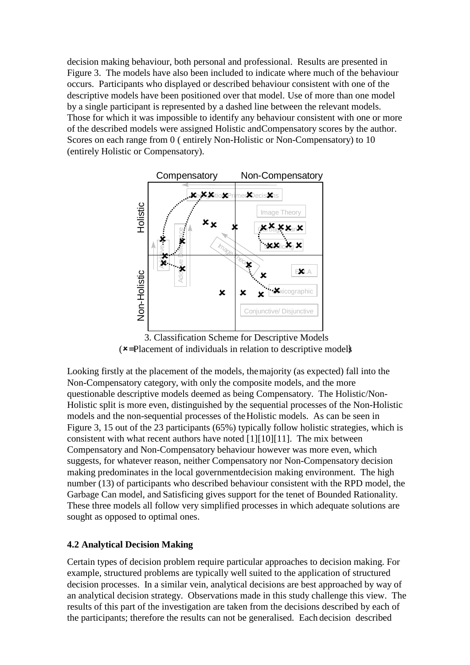decision making behaviour, both personal and professional. Results are presented in Figure 3. The models have also been included to indicate where much of the behaviour occurs. Participants who displayed or described behaviour consistent with one of the descriptive models have been positioned over that model. Use of more than one model by a single participant is represented by a dashed line between the relevant models. Those for which it was impossible to identify any behaviour consistent with one or more of the described models were assigned Holistic and Compensatory scores by the author. Scores on each range from 0 ( entirely Non-Holistic or Non-Compensatory) to 10 (entirely Holistic or Compensatory).



3. Classification Scheme for Descriptive Models  $\mathbf{x}$ =Placement of individuals in relation to descriptive model)

Looking firstly at the placement of the models, the majority (as expected) fall into the Non-Compensatory category, with only the composite models, and the more questionable descriptive models deemed as being Compensatory. The Holistic/Non-Holistic split is more even, distinguished by the sequential processes of the Non-Holistic models and the non-sequential processes of the Holistic models. As can be seen in Figure 3, 15 out of the 23 participants (65%) typically follow holistic strategies, which is consistent with what recent authors have noted [1][10][11]. The mix between Compensatory and Non-Compensatory behaviour however was more even, which suggests, for whatever reason, neither Compensatory nor Non-Compensatory decision making predominates in the local government decision making environment. The high number (13) of participants who described behaviour consistent with the RPD model, the Garbage Can model, and Satisficing gives support for the tenet of Bounded Rationality. These three models all follow very simplified processes in which adequate solutions are sought as opposed to optimal ones.

## **4.2 Analytical Decision Making**

Certain types of decision problem require particular approaches to decision making. For example, structured problems are typically well suited to the application of structured decision processes. In a similar vein, analytical decisions are best approached by way of an analytical decision strategy. Observations made in this study challenge this view. The results of this part of the investigation are taken from the decisions described by each of the participants; therefore the results can not be generalised. Each decision described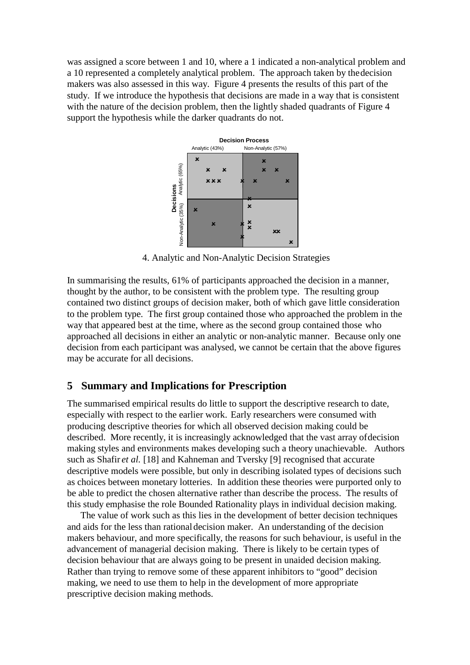was assigned a score between 1 and 10, where a 1 indicated a non-analytical problem and a 10 represented a completely analytical problem. The approach taken by the decision makers was also assessed in this way. Figure 4 presents the results of this part of the study. If we introduce the hypothesis that decisions are made in a way that is consistent with the nature of the decision problem, then the lightly shaded quadrants of Figure 4 support the hypothesis while the darker quadrants do not.



4. Analytic and Non-Analytic Decision Strategies

In summarising the results, 61% of participants approached the decision in a manner, thought by the author, to be consistent with the problem type. The resulting group contained two distinct groups of decision maker, both of which gave little consideration to the problem type. The first group contained those who approached the problem in the way that appeared best at the time, where as the second group contained those who approached all decisions in either an analytic or non-analytic manner. Because only one decision from each participant was analysed, we cannot be certain that the above figures may be accurate for all decisions.

## **5 Summary and Implications for Prescription**

The summarised empirical results do little to support the descriptive research to date, especially with respect to the earlier work. Early researchers were consumed with producing descriptive theories for which all observed decision making could be described. More recently, it is increasingly acknowledged that the vast array of decision making styles and environments makes developing such a theory unachievable. Authors such as Shafir *et al.* [18] and Kahneman and Tversky [9] recognised that accurate descriptive models were possible, but only in describing isolated types of decisions such as choices between monetary lotteries. In addition these theories were purported only to be able to predict the chosen alternative rather than describe the process. The results of this study emphasise the role Bounded Rationality plays in individual decision making.

The value of work such as this lies in the development of better decision techniques and aids for the less than rational decision maker. An understanding of the decision makers behaviour, and more specifically, the reasons for such behaviour, is useful in the advancement of managerial decision making. There is likely to be certain types of decision behaviour that are always going to be present in unaided decision making. Rather than trying to remove some of these apparent inhibitors to "good" decision making, we need to use them to help in the development of more appropriate prescriptive decision making methods.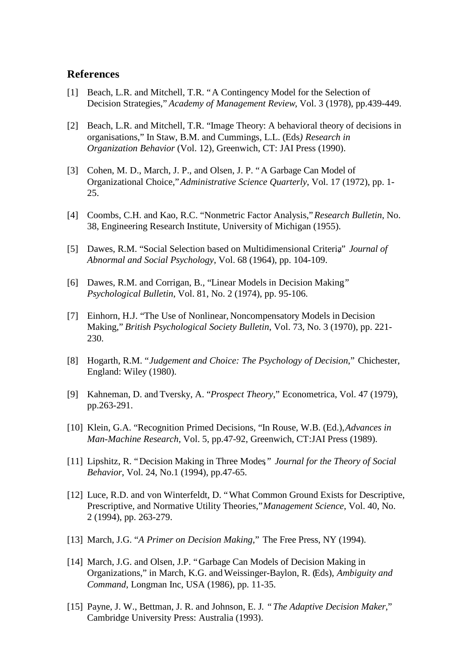## **References**

- [1] Beach, L.R. and Mitchell, T.R. "A Contingency Model for the Selection of Decision Strategies," *Academy of Management Review*, Vol. 3 (1978), pp.439-449.
- [2] Beach, L.R. and Mitchell, T.R. "Image Theory: A behavioral theory of decisions in organisations," In Staw, B.M. and Cummings, L.L. (Eds*) Research in Organization Behavior* (Vol. 12), Greenwich, CT: JAI Press (1990).
- [3] Cohen, M. D., March, J. P., and Olsen, J. P. "A Garbage Can Model of Organizational Choice," *Administrative Science Quarterly*, Vol. 17 (1972), pp. 1- 25.
- [4] Coombs, C.H. and Kao, R.C. "Nonmetric Factor Analysis," *Research Bulletin*, No. 38, Engineering Research Institute, University of Michigan (1955).
- [5] Dawes, R.M. "Social Selection based on Multidimensional Criteria*," Journal of Abnormal and Social Psychology*, Vol. 68 (1964), pp. 104-109.
- [6] Dawes, R.M. and Corrigan, B., "Linear Models in Decision Making*," Psychological Bulletin*, Vol. 81, No. 2 (1974), pp. 95-106.
- [7] Einhorn, H.J. "The Use of Nonlinear, Noncompensatory Models in Decision Making," *British Psychological Society Bulletin*, Vol. 73, No. 3 (1970), pp. 221- 230.
- [8] Hogarth, R.M. "*Judgement and Choice: The Psychology of Decision*," Chichester, England: Wiley (1980).
- [9] Kahneman, D. and Tversky, A. "*Prospect Theory*," Econometrica, Vol. 47 (1979), pp.263-291.
- [10] Klein, G.A. "Recognition Primed Decisions, "In Rouse, W.B. (Ed.), *Advances in Man-Machine Research*, Vol. 5, pp.47-92, Greenwich, CT:JAI Press (1989).
- [11] Lipshitz, R. "Decision Making in Three Modes" Journal for the Theory of Social *Behavior*, Vol. 24, No.1 (1994), pp.47-65.
- [12] Luce, R.D. and von Winterfeldt, D. "What Common Ground Exists for Descriptive, Prescriptive, and Normative Utility Theories," *Management Science*, Vol. 40, No. 2 (1994), pp. 263-279.
- [13] March, J.G. "*A Primer on Decision Making*," The Free Press, NY (1994).
- [14] March, J.G. and Olsen, J.P. "Garbage Can Models of Decision Making in Organizations," in March, K.G. and Weissinger-Baylon, R. (Eds), *Ambiguity and Command*, Longman Inc, USA (1986), pp. 11-35.
- [15] Payne, J. W., Bettman, J. R. and Johnson, E. J*. "The Adaptive Decision Maker*," Cambridge University Press: Australia (1993).